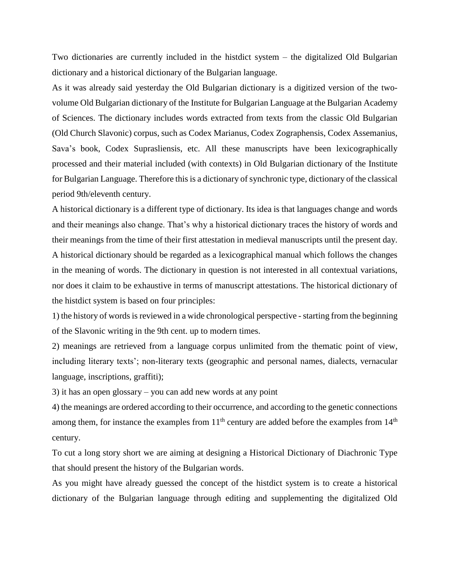Two dictionaries are currently included in the histdict system – the digitalized Old Bulgarian dictionary and a historical dictionary of the Bulgarian language.

As it was already said yesterday the Old Bulgarian dictionary is a digitized version of the twovolume Old Bulgarian dictionary of the Institute for Bulgarian Language at the Bulgarian Academy of Sciences. The dictionary includes words extracted from texts from the classic Old Bulgarian (Old Church Slavonic) corpus, such as Codex Marianus, Codex Zographensis, Codex Assemanius, Sava's book, Codex Suprasliensis, etc. All these manuscripts have been lexicographically processed and their material included (with contexts) in Old Bulgarian dictionary of the Institute for Bulgarian Language. Therefore this is a dictionary of synchronic type, dictionary of the classical period 9th/eleventh century.

A historical dictionary is a different type of dictionary. Its idea is that languages change and words and their meanings also change. That's why a historical dictionary traces the history of words and their meanings from the time of their first attestation in medieval manuscripts until the present day. A historical dictionary should be regarded as a lexicographical manual which follows the changes in the meaning of words. The dictionary in question is not interested in all contextual variations, nor does it claim to be exhaustive in terms of manuscript attestations. The historical dictionary of the histdict system is based on four principles:

1) the history of words is reviewed in a wide chronological perspective -starting from the beginning of the Slavonic writing in the 9th cent. up to modern times.

2) meanings are retrieved from a language corpus unlimited from the thematic point of view, including literary texts'; non-literary texts (geographic and personal names, dialects, vernacular language, inscriptions, graffiti);

3) it has an open glossary – you can add new words at any point

4) the meanings are ordered according to their occurrence, and according to the genetic connections among them, for instance the examples from  $11<sup>th</sup>$  century are added before the examples from  $14<sup>th</sup>$ century.

To cut a long story short we are aiming at designing a Historical Dictionary of Diachronic Type that should present the history of the Bulgarian words.

As you might have already guessed the concept of the histdict system is to create a historical dictionary of the Bulgarian language through editing and supplementing the digitalized Old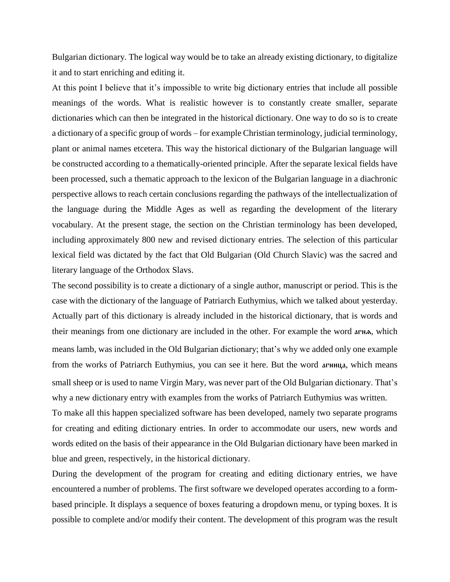Bulgarian dictionary. The logical way would be to take an already existing dictionary, to digitalize it and to start enriching and editing it.

At this point I believe that it's impossible to write big dictionary entries that include all possible meanings of the words. What is realistic however is to constantly create smaller, separate dictionaries which can then be integrated in the historical dictionary. One way to do so is to create a dictionary of a specific group of words – for example Christian terminology, judicial terminology, plant or animal names etcetera. This way the historical dictionary of the Bulgarian language will be constructed according to a thematically-oriented principle. After the separate lexical fields have been processed, such a thematic approach to the lexicon of the Bulgarian language in a diachronic perspective allows to reach certain conclusions regarding the pathways of the intellectualization of the language during the Middle Ages as well as regarding the development of the literary vocabulary. At the present stage, the section on the Christian terminology has been developed, including approximately 800 new and revised dictionary entries. The selection of this particular lexical field was dictated by the fact that Old Bulgarian (Old Church Slavic) was the sacred and literary language of the Orthodox Slavs.

The second possibility is to create a dictionary of a single author, manuscript or period. This is the case with the dictionary of the language of Patriarch Euthymius, which we talked about yesterday. Actually part of this dictionary is already included in the historical dictionary, that is words and their meanings from one dictionary are included in the other. For example the word агна, which means lamb, was included in the Old Bulgarian dictionary; that's why we added only one example from the works of Patriarch Euthymius, you can see it here. But the word агница, which means small sheep or is used to name Virgin Mary, was never part of the Old Bulgarian dictionary. That's why a new dictionary entry with examples from the works of Patriarch Euthymius was written.

To make all this happen specialized software has been developed, namely two separate programs for creating and editing dictionary entries. In order to accommodate our users, new words and words edited on the basis of their appearance in the Old Bulgarian dictionary have been marked in blue and green, respectively, in the historical dictionary.

During the development of the program for creating and editing dictionary entries, we have encountered a number of problems. The first software we developed operates according to a formbased principle. It displays a sequence of boxes featuring a dropdown menu, or typing boxes. It is possible to complete and/or modify their content. The development of this program was the result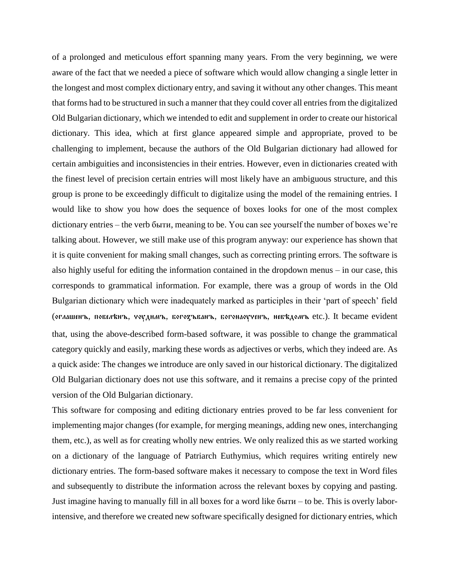of a prolonged and meticulous effort spanning many years. From the very beginning, we were aware of the fact that we needed a piece of software which would allow changing a single letter in the longest and most complex dictionary entry, and saving it without any other changes. This meant that forms had to be structured in such a manner that they could cover all entries from the digitalized Old Bulgarian dictionary, which we intended to edit and supplement in order to create our historical dictionary. This idea, which at first glance appeared simple and appropriate, proved to be challenging to implement, because the authors of the Old Bulgarian dictionary had allowed for certain ambiguities and inconsistencies in their entries. However, even in dictionaries created with the finest level of precision certain entries will most likely have an ambiguous structure, and this group is prone to be exceedingly difficult to digitalize using the model of the remaining entries. I would like to show you how does the sequence of boxes looks for one of the most complex dictionary entries – the verb быти, meaning to be. You can see yourself the number of boxes we're talking about. However, we still make use of this program anyway: our experience has shown that it is quite convenient for making small changes, such as correcting printing errors. The software is also highly useful for editing the information contained in the dropdown menus – in our case, this corresponds to grammatical information. For example, there was a group of words in the Old Bulgarian dictionary which were inadequately marked as participles in their 'part of speech' field (оглашенъ, повеленъ, чоуднать, боготъванъ, богонаоученъ, невъдомъ etc.). It became evident that, using the above-described form-based software, it was possible to change the grammatical category quickly and easily, marking these words as adjectives or verbs, which they indeed are. As a quick aside: The changes we introduce are only saved in our historical dictionary. The digitalized Old Bulgarian dictionary does not use this software, and it remains a precise copy of the printed version of the Old Bulgarian dictionary.

This software for composing and editing dictionary entries proved to be far less convenient for implementing major changes (for example, for merging meanings, adding new ones, interchanging them, etc.), as well as for creating wholly new entries. We only realized this as we started working on a dictionary of the language of Patriarch Euthymius, which requires writing entirely new dictionary entries. The form-based software makes it necessary to compose the text in Word files and subsequently to distribute the information across the relevant boxes by copying and pasting. Just imagine having to manually fill in all boxes for a word like быти – to be. This is overly laborintensive, and therefore we created new software specifically designed for dictionary entries, which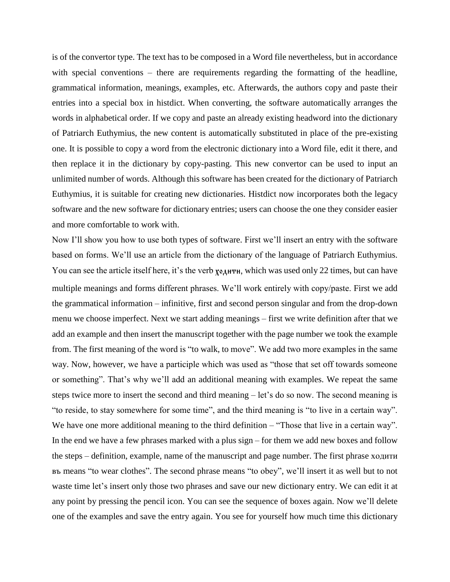is of the convertor type. The text has to be composed in a Word file nevertheless, but in accordance with special conventions – there are requirements regarding the formatting of the headline, grammatical information, meanings, examples, etc. Afterwards, the authors copy and paste their entries into a special box in histdict. When converting, the software automatically arranges the words in alphabetical order. If we copy and paste an already existing headword into the dictionary of Patriarch Euthymius, the new content is automatically substituted in place of the pre-existing one. It is possible to copy a word from the electronic dictionary into a Word file, edit it there, and then replace it in the dictionary by copy-pasting. This new convertor can be used to input an unlimited number of words. Although this software has been created for the dictionary of Patriarch Euthymius, it is suitable for creating new dictionaries. Histdict now incorporates both the legacy software and the new software for dictionary entries; users can choose the one they consider easier and more comfortable to work with.

Now I'll show you how to use both types of software. First we'll insert an entry with the software based on forms. We'll use an article from the dictionary of the language of Patriarch Euthymius. You can see the article itself here, it's the verb  $\chi$ o<sub>A</sub>HTH, which was used only 22 times, but can have multiple meanings and forms different phrases. We'll work entirely with copy/paste. First we add the grammatical information – infinitive, first and second person singular and from the drop-down menu we choose imperfect. Next we start adding meanings – first we write definition after that we add an example and then insert the manuscript together with the page number we took the example from. The first meaning of the word is "to walk, to move". We add two more examples in the same way. Now, however, we have a participle which was used as "those that set off towards someone or something". That's why we'll add an additional meaning with examples. We repeat the same steps twice more to insert the second and third meaning – let's do so now. The second meaning is "to reside, to stay somewhere for some time", and the third meaning is "to live in a certain way". We have one more additional meaning to the third definition – "Those that live in a certain way". In the end we have a few phrases marked with a plus sign – for them we add new boxes and follow the steps – definition, example, name of the manuscript and page number. The first phrase ходити въ means "to wear clothes". The second phrase means "to obey", we'll insert it as well but to not waste time let's insert only those two phrases and save our new dictionary entry. We can edit it at any point by pressing the pencil icon. You can see the sequence of boxes again. Now we'll delete one of the examples and save the entry again. You see for yourself how much time this dictionary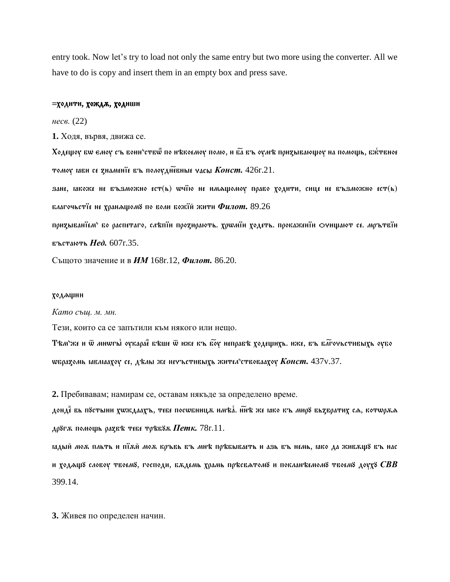entry took. Now let's try to load not only the same entry but two more using the converter. All we have to do is copy and insert them in an empty box and press save.

#### =ходнтн, хождж, ходншн

несв.  $(22)$ 

1. Ходя, вървя, движа се.

Ходещоу бw ємоу съ воин'єтвш по нъкоемоу полю, и ба въ оумъ призывающоу на помощь, бжтвное томоу пави се днаменїе въ полоудневные часы Конст. 426г.21.

зане, такоже не възможно ест(ь) wyїю не иммщомоу право ходити, сице не възможно ест(ь) благочьстіе не хранљщом8 по воли божій жити Филот. 89.26

призываніем<sup>и</sup> бо распетаго, слепій прозирають. хршмій ходеть. прокаженій фунщают се. мрътвій въстають *Нед.* 607г.35.

Същото значение и в ИМ 168г.12, Филот. 86.20.

#### ходащни

Като същ. м. мн.

Тези, които са се запътили към някого или нещо.

Тъм'же и ѿ мншгы оукарае бъше ѿ иже къ боу неправъ ходещихь. иже, въ блгочьстивыхь оубо wеразомы тавлгаахоу се, дълы же нечъстивыхь жител<sup>ь</sup>ствоваахоу Конст. 437v.37.

2. Пребивавам; намирам се, оставам някъде за определено време.

дондё вь п8стыни хwждаахъ, тебе посwбницж имъа̀. н̂нъ же гако къ мир8 вьзвратих сљ, котwржљ др8гж помощь развъ тебе тръб8ж Петк. 78г.11.

гадый мож пльть и пїжй мож кръвь въ мнѣ прѣбываєть и азь въ немь, гако да живжщ8 въ нас и ходмщ8 словоу твоем8, господи, бждемь храмь пръсвмтом8 и покланъемом8 твоем8 доух8  $\boldsymbol{C}\boldsymbol{B}\boldsymbol{B}$ 399.14.

3. Живея по определен начин.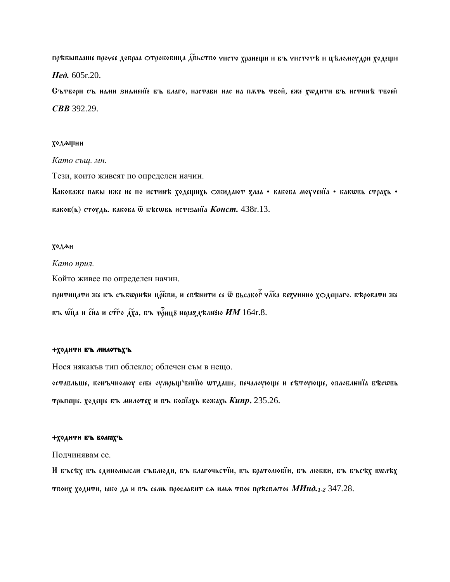пръбывааше прочее добраа Отроковица Двьство чисто хранещи и въ чистотъ и цъломоудри ходещи Hed. 605r.20.

Сътвори съ нами знаменїе въ благо, настави нас на пжть твой, еже хwдити въ истинъ твоей **CBB** 392.29.

### ходашни

Като същ. мн.

Тези, които живеят по определен начин.

Каковаже пакы иже не по истинъ ходещихь Ожидают длаа • какова моученїа • какwвь страхь • каков(ь) стоудь. какова ѿ бъсшвь истезаніа Конст. 438г.13.

## ходан

Като прил.

Който живее по определен начин.

притицати же къ събшрнън цо̀кви, и свънити се ѿ вьсакот ̂ ча̂ка бедчинно ходешаго. въровати же въ Wща и сила и стър Дуа, въ то̂нц $\delta$  нераддълн $\delta \omega$  164г. $8$ .

# +ходнтн въ милотьхъ

Нося някакъв тип облекло; облечен съм в нещо.

оставльше, конъчномоу себе оумрьш'венію штдаше, печалоующе и сътоующе, озловлюніа бъсшвь токпеще. ходеще въ милотех и въ козїдхь кожахь Кипр. 235.26.

### +ходнтн въ волыхъ

Подчинявам се.

И въсъх въ единомысли съблюди, въ благочьстіи, въ братолювіи, въ любви, въ въсъх вмлъх твоих ходити, тако да и въ семь прославит сл имл твое пръсвлтое МИнд.1-2 347.28.